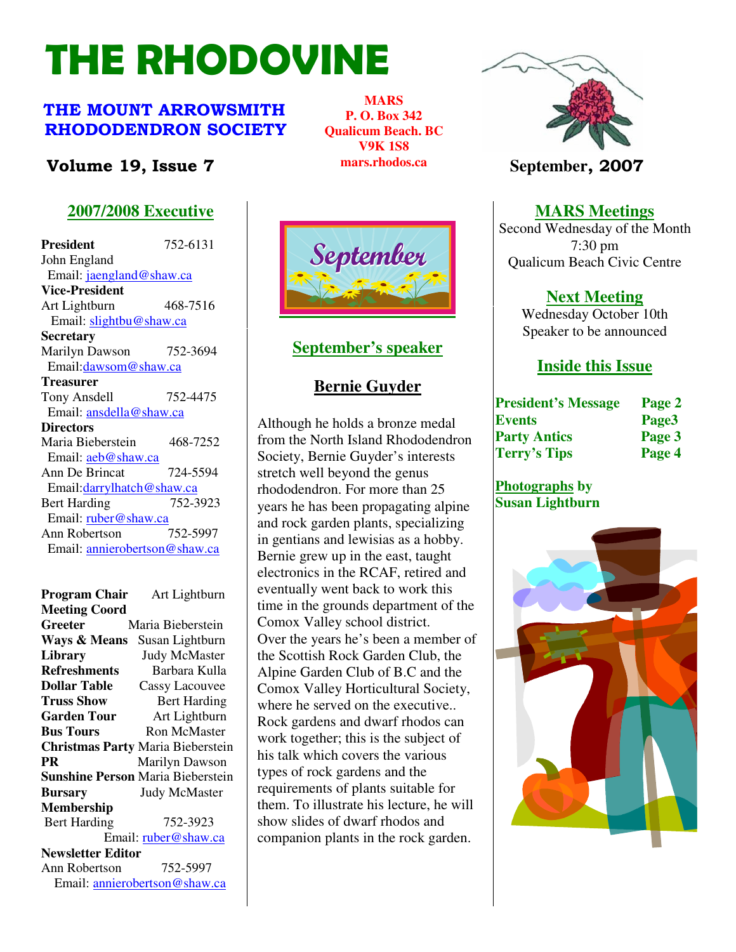# THE RHODOVINE

# THE MOUNT ARROWSMITH RHODODENDRON SOCIETY

# **Volume 19, Issue 7 Intervellent Market** *September*, 2007

# **2007/2008 Executive**

**President** 752-6131 John England Email: jaengland@shaw.ca **Vice-President**  Art Lightburn 468-7516 Email: slightbu@shaw.ca **Secretary** Marilyn Dawson 752-3694 Email:dawsom@shaw.ca **Treasurer** Tony Ansdell 752-4475 Email: ansdella@shaw.ca **Directors**  Maria Bieberstein 468-7252 Email: aeb@shaw.ca Ann De Brincat 724-5594 Email:darrylhatch@shaw.ca Bert Harding 752-3923 Email: ruber@shaw.ca Ann Robertson 752-5997 Email: annierobertson@shaw.ca

**Program Chair** Art Lightburn **Meeting Coord Greeter** Maria Bieberstein **Ways & Means** Susan Lightburn **Library** Judy McMaster **Refreshments** Barbara Kulla **Dollar Table** Cassy Lacouvee **Truss Show** Bert Harding **Garden Tour** Art Lightburn **Bus Tours Ron McMaster Christmas Party** Maria Bieberstein **PR Marilyn Dawson Sunshine Person** Maria Bieberstein **Bursary** Judy McMaster **Membership**  Bert Harding 752-3923 Email: ruber@shaw.ca **Newsletter Editor** Ann Robertson 752-5997 Email: annierobertson@shaw.ca



**MARS P. O. Box 342 Qualicum Beach. BC V9K 1S8 mars.rhodos.ca** 

#### **September's speaker**

### **Bernie Guyder**

Page 2 The Rhodovine Volume 15, Issue 3 them. To illustrate his lecture, he will Although he holds a bronze medal from the North Island Rhododendron Society, Bernie Guyder's interests stretch well beyond the genus rhododendron. For more than 25 years he has been propagating alpine and rock garden plants, specializing in gentians and lewisias as a hobby. Bernie grew up in the east, taught electronics in the RCAF, retired and eventually went back to work this time in the grounds department of the Comox Valley school district. Over the years he's been a member of the Scottish Rock Garden Club, the Alpine Garden Club of B.C and the Comox Valley Horticultural Society, where he served on the executive.. Rock gardens and dwarf rhodos can work together; this is the subject of his talk which covers the various types of rock gardens and the requirements of plants suitable for show slides of dwarf rhodos and companion plants in the rock garden.



**MARS Meetings**

 Second Wednesday of the Month 7:30 pm Qualicum Beach Civic Centre

# **Next Meeting**

Wednesday October 10th Speaker to be announced

# **Inside this Issue**

| <b>President's Message</b> | Page 2 |
|----------------------------|--------|
| <b>Events</b>              | Page3  |
| <b>Party Antics</b>        | Page 3 |
| <b>Terry's Tips</b>        | Page 4 |

#### **Photographs by Susan Lightburn**

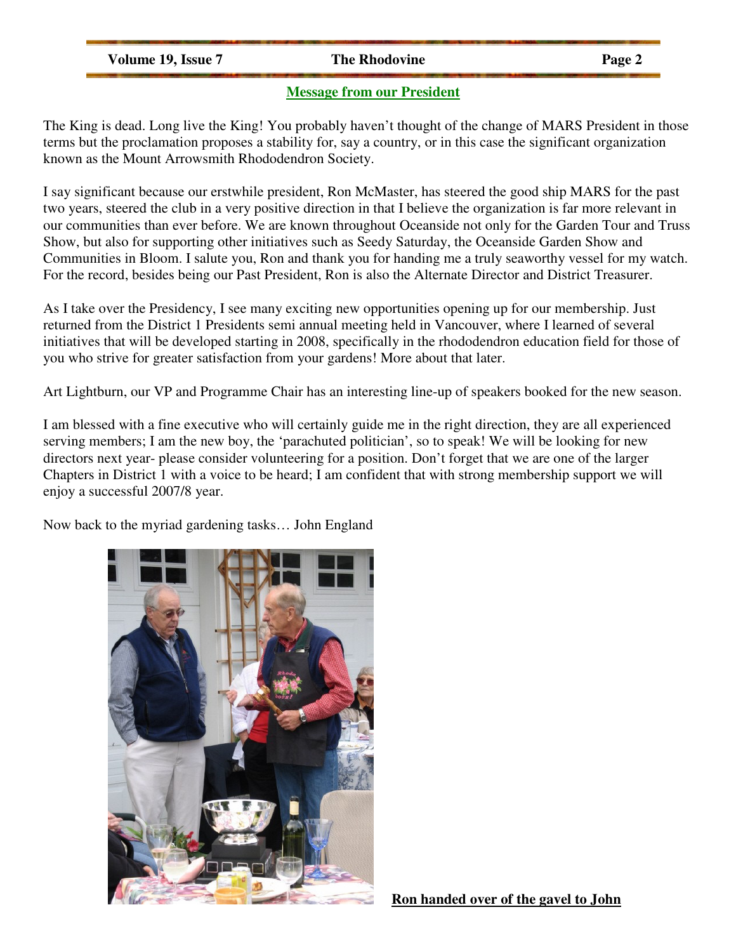**Volume 19, Issue 7** The Rhodovine Page 2

#### **Message from our President**

The King is dead. Long live the King! You probably haven't thought of the change of MARS President in those terms but the proclamation proposes a stability for, say a country, or in this case the significant organization known as the Mount Arrowsmith Rhododendron Society.

I say significant because our erstwhile president, Ron McMaster, has steered the good ship MARS for the past two years, steered the club in a very positive direction in that I believe the organization is far more relevant in our communities than ever before. We are known throughout Oceanside not only for the Garden Tour and Truss Show, but also for supporting other initiatives such as Seedy Saturday, the Oceanside Garden Show and Communities in Bloom. I salute you, Ron and thank you for handing me a truly seaworthy vessel for my watch. For the record, besides being our Past President, Ron is also the Alternate Director and District Treasurer.

As I take over the Presidency, I see many exciting new opportunities opening up for our membership. Just returned from the District 1 Presidents semi annual meeting held in Vancouver, where I learned of several initiatives that will be developed starting in 2008, specifically in the rhododendron education field for those of you who strive for greater satisfaction from your gardens! More about that later.

Art Lightburn, our VP and Programme Chair has an interesting line-up of speakers booked for the new season.

I am blessed with a fine executive who will certainly guide me in the right direction, they are all experienced serving members; I am the new boy, the 'parachuted politician', so to speak! We will be looking for new directors next year- please consider volunteering for a position. Don't forget that we are one of the larger Chapters in District 1 with a voice to be heard; I am confident that with strong membership support we will enjoy a successful 2007/8 year.

Now back to the myriad gardening tasks… John England



**Ron handed over of the gavel to John**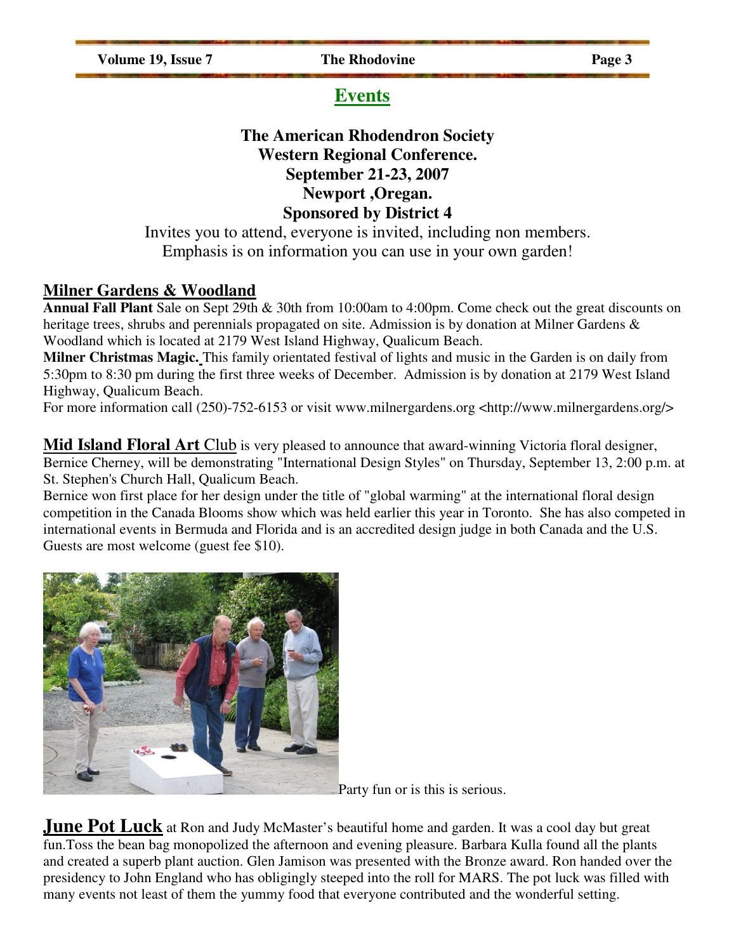Volume 19, Issue 7 The Rhodovine Page 3

# **Events**

# **The American Rhodendron Society Western Regional Conference. September 21-23, 2007 Newport ,Oregan. Sponsored by District 4**

Invites you to attend, everyone is invited, including non members. Emphasis is on information you can use in your own garden!

# **Milner Gardens & Woodland**

**Annual Fall Plant** Sale on Sept 29th & 30th from 10:00am to 4:00pm. Come check out the great discounts on heritage trees, shrubs and perennials propagated on site. Admission is by donation at Milner Gardens & Woodland which is located at 2179 West Island Highway, Qualicum Beach.

**Milner Christmas Magic.** This family orientated festival of lights and music in the Garden is on daily from 5:30pm to 8:30 pm during the first three weeks of December. Admission is by donation at 2179 West Island Highway, Qualicum Beach.

For more information call (250)-752-6153 or visit www.milnergardens.org <http://www.milnergardens.org/>

**Mid Island Floral Art** Club is very pleased to announce that award-winning Victoria floral designer, Bernice Cherney, will be demonstrating "International Design Styles" on Thursday, September 13, 2:00 p.m. at St. Stephen's Church Hall, Qualicum Beach.

Bernice won first place for her design under the title of "global warming" at the international floral design competition in the Canada Blooms show which was held earlier this year in Toronto. She has also competed in international events in Bermuda and Florida and is an accredited design judge in both Canada and the U.S. Guests are most welcome (guest fee \$10).



Party fun or is this is serious.

**June Pot Luck** at Ron and Judy McMaster's beautiful home and garden. It was a cool day but great fun.Toss the bean bag monopolized the afternoon and evening pleasure. Barbara Kulla found all the plants and created a superb plant auction. Glen Jamison was presented with the Bronze award. Ron handed over the presidency to John England who has obligingly steeped into the roll for MARS. The pot luck was filled with many events not least of them the yummy food that everyone contributed and the wonderful setting.